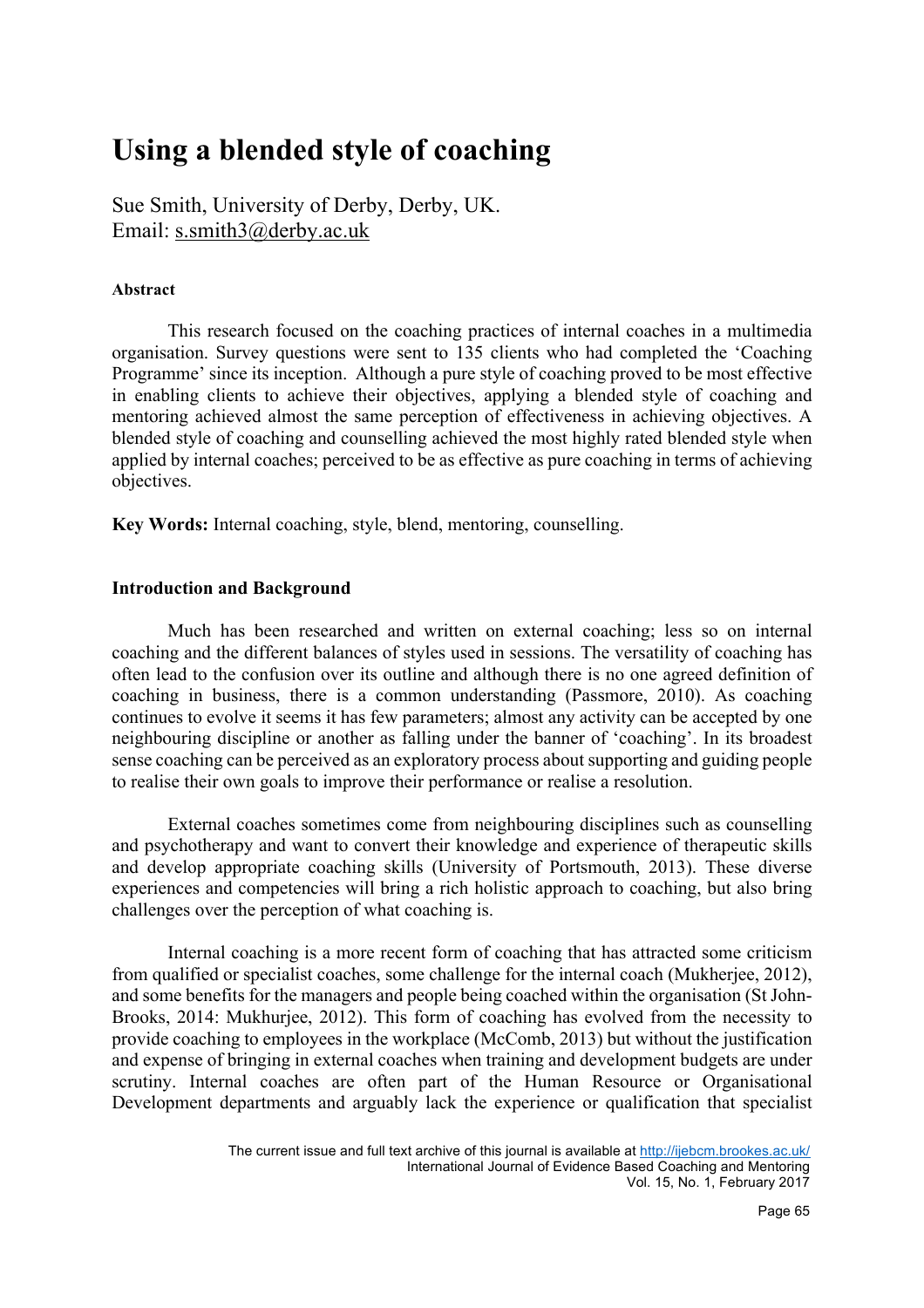# **Using a blended style of coaching**

Sue Smith, University of Derby, Derby, UK. Email: s.smith3@derby.ac.uk

# **Abstract**

 This research focused on the coaching practices of internal coaches in a multimedia organisation. Survey questions were sent to 135 clients who had completed the 'Coaching Programme' since its inception. Although a pure style of coaching proved to be most effective in enabling clients to achieve their objectives, applying a blended style of coaching and mentoring achieved almost the same perception of effectiveness in achieving objectives. A blended style of coaching and counselling achieved the most highly rated blended style when applied by internal coaches; perceived to be as effective as pure coaching in terms of achieving objectives.

**Key Words:** Internal coaching, style, blend, mentoring, counselling.

# **Introduction and Background**

Much has been researched and written on external coaching; less so on internal coaching and the different balances of styles used in sessions. The versatility of coaching has often lead to the confusion over its outline and although there is no one agreed definition of coaching in business, there is a common understanding (Passmore, 2010). As coaching continues to evolve it seems it has few parameters; almost any activity can be accepted by one neighbouring discipline or another as falling under the banner of 'coaching'. In its broadest sense coaching can be perceived as an exploratory process about supporting and guiding people to realise their own goals to improve their performance or realise a resolution.

External coaches sometimes come from neighbouring disciplines such as counselling and psychotherapy and want to convert their knowledge and experience of therapeutic skills and develop appropriate coaching skills (University of Portsmouth, 2013). These diverse experiences and competencies will bring a rich holistic approach to coaching, but also bring challenges over the perception of what coaching is.

Internal coaching is a more recent form of coaching that has attracted some criticism from qualified or specialist coaches, some challenge for the internal coach (Mukherjee, 2012), and some benefits for the managers and people being coached within the organisation (St John-Brooks, 2014: Mukhurjee, 2012). This form of coaching has evolved from the necessity to provide coaching to employees in the workplace (McComb, 2013) but without the justification and expense of bringing in external coaches when training and development budgets are under scrutiny. Internal coaches are often part of the Human Resource or Organisational Development departments and arguably lack the experience or qualification that specialist

The current issue and full text archive of this journal is available at http://ijebcm.brookes.ac.uk/ International Journal of Evidence Based Coaching and Mentoring Vol. 15, No. 1, February 2017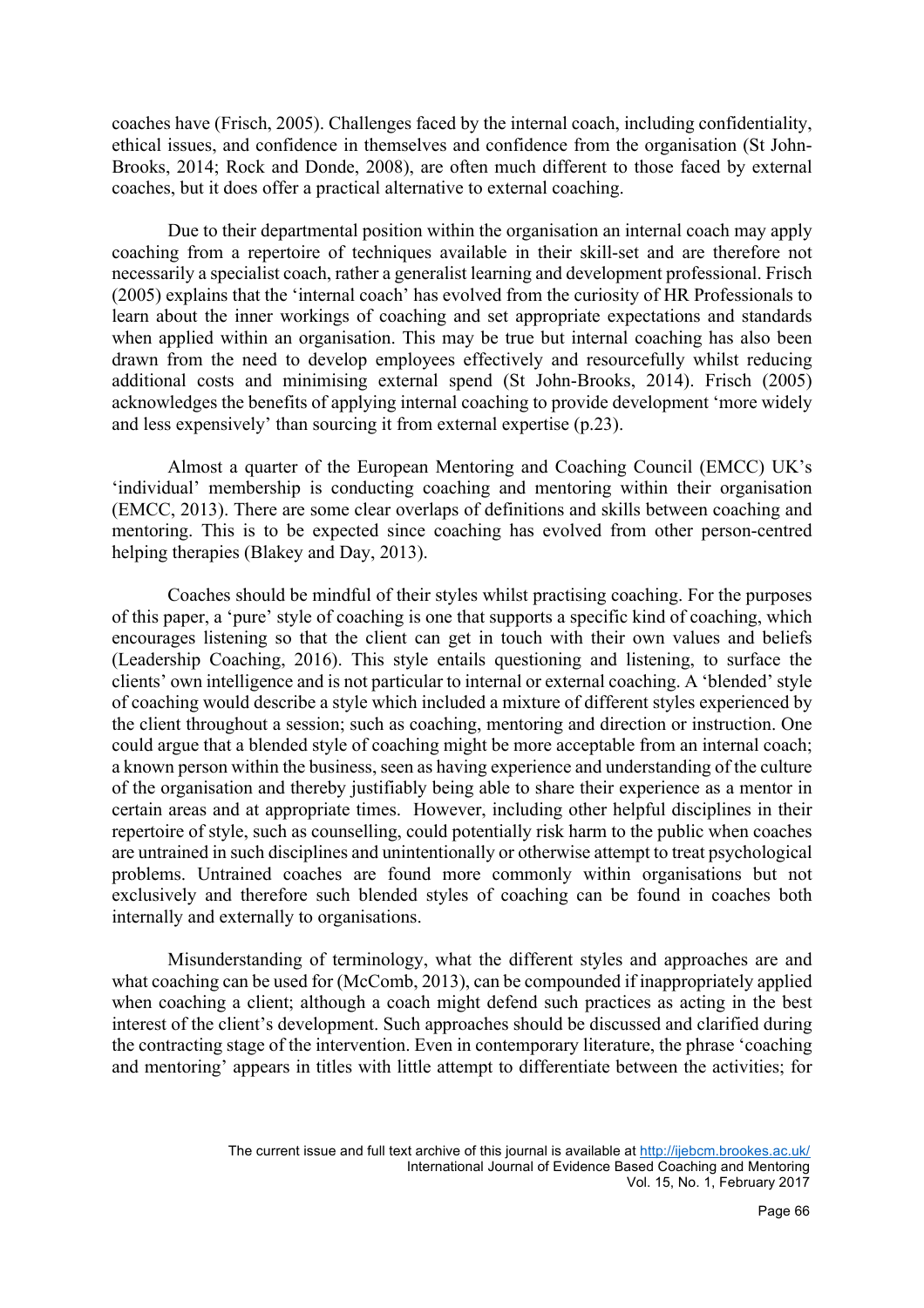coaches have (Frisch, 2005). Challenges faced by the internal coach, including confidentiality, ethical issues, and confidence in themselves and confidence from the organisation (St John-Brooks, 2014; Rock and Donde, 2008), are often much different to those faced by external coaches, but it does offer a practical alternative to external coaching.

Due to their departmental position within the organisation an internal coach may apply coaching from a repertoire of techniques available in their skill-set and are therefore not necessarily a specialist coach, rather a generalist learning and development professional. Frisch (2005) explains that the 'internal coach' has evolved from the curiosity of HR Professionals to learn about the inner workings of coaching and set appropriate expectations and standards when applied within an organisation. This may be true but internal coaching has also been drawn from the need to develop employees effectively and resourcefully whilst reducing additional costs and minimising external spend (St John-Brooks, 2014). Frisch (2005) acknowledges the benefits of applying internal coaching to provide development 'more widely and less expensively' than sourcing it from external expertise (p.23).

Almost a quarter of the European Mentoring and Coaching Council (EMCC) UK's 'individual' membership is conducting coaching and mentoring within their organisation (EMCC, 2013). There are some clear overlaps of definitions and skills between coaching and mentoring. This is to be expected since coaching has evolved from other person-centred helping therapies (Blakey and Day, 2013).

Coaches should be mindful of their styles whilst practising coaching. For the purposes of this paper, a 'pure' style of coaching is one that supports a specific kind of coaching, which encourages listening so that the client can get in touch with their own values and beliefs (Leadership Coaching, 2016). This style entails questioning and listening, to surface the clients' own intelligence and is not particular to internal or external coaching. A 'blended' style of coaching would describe a style which included a mixture of different styles experienced by the client throughout a session; such as coaching, mentoring and direction or instruction. One could argue that a blended style of coaching might be more acceptable from an internal coach; a known person within the business, seen as having experience and understanding of the culture of the organisation and thereby justifiably being able to share their experience as a mentor in certain areas and at appropriate times. However, including other helpful disciplines in their repertoire of style, such as counselling, could potentially risk harm to the public when coaches are untrained in such disciplines and unintentionally or otherwise attempt to treat psychological problems. Untrained coaches are found more commonly within organisations but not exclusively and therefore such blended styles of coaching can be found in coaches both internally and externally to organisations.

Misunderstanding of terminology, what the different styles and approaches are and what coaching can be used for (McComb, 2013), can be compounded if inappropriately applied when coaching a client; although a coach might defend such practices as acting in the best interest of the client's development. Such approaches should be discussed and clarified during the contracting stage of the intervention. Even in contemporary literature, the phrase 'coaching and mentoring' appears in titles with little attempt to differentiate between the activities; for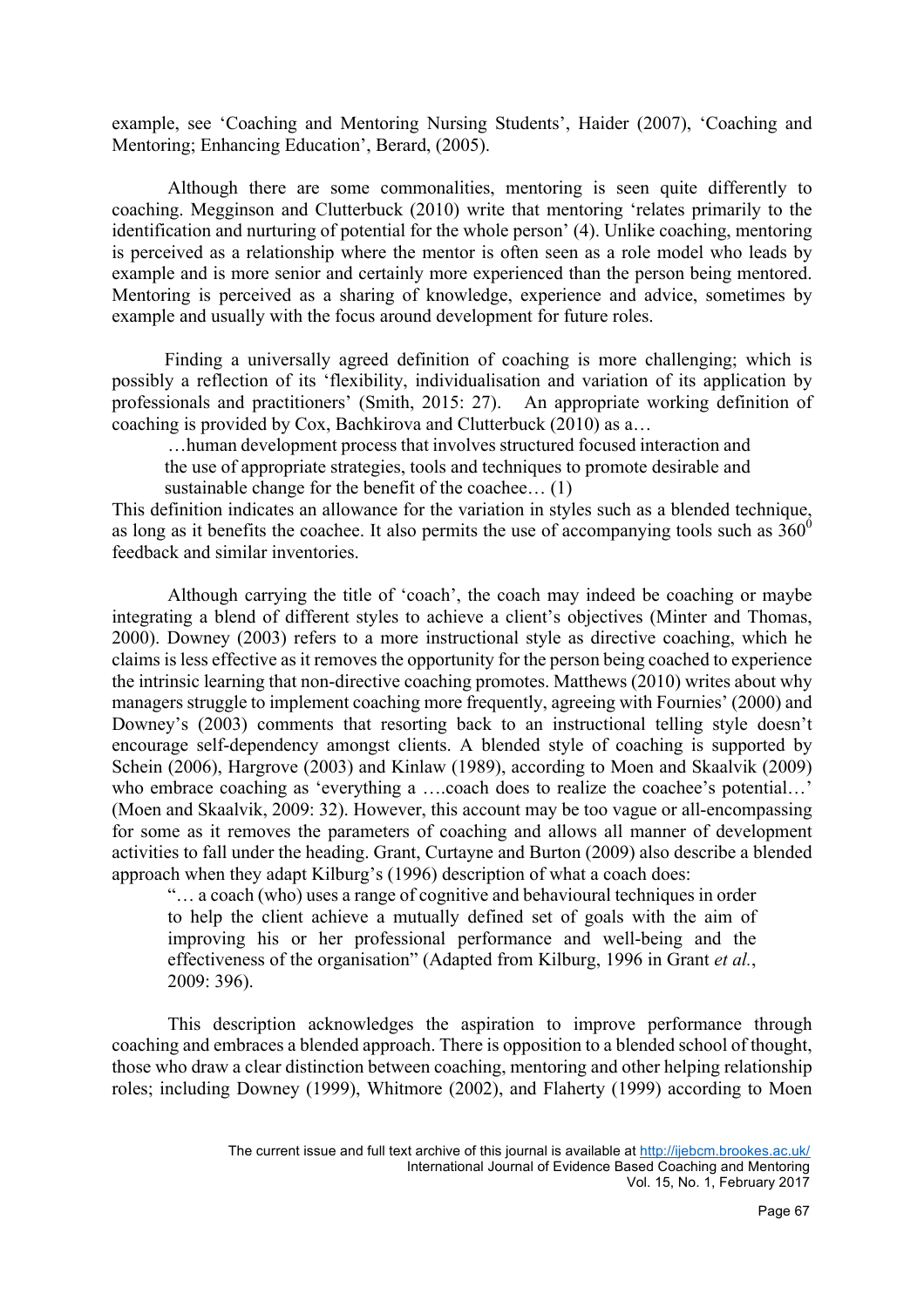example, see 'Coaching and Mentoring Nursing Students', Haider (2007), 'Coaching and Mentoring; Enhancing Education', Berard, (2005).

Although there are some commonalities, mentoring is seen quite differently to coaching. Megginson and Clutterbuck (2010) write that mentoring 'relates primarily to the identification and nurturing of potential for the whole person' (4). Unlike coaching, mentoring is perceived as a relationship where the mentor is often seen as a role model who leads by example and is more senior and certainly more experienced than the person being mentored. Mentoring is perceived as a sharing of knowledge, experience and advice, sometimes by example and usually with the focus around development for future roles.

Finding a universally agreed definition of coaching is more challenging; which is possibly a reflection of its 'flexibility, individualisation and variation of its application by professionals and practitioners' (Smith, 2015: 27). An appropriate working definition of coaching is provided by Cox, Bachkirova and Clutterbuck (2010) as a…

…human development process that involves structured focused interaction and the use of appropriate strategies, tools and techniques to promote desirable and sustainable change for the benefit of the coachee… (1)

This definition indicates an allowance for the variation in styles such as a blended technique, as long as it benefits the coachee. It also permits the use of accompanying tools such as  $360^{\circ}$ feedback and similar inventories.

Although carrying the title of 'coach', the coach may indeed be coaching or maybe integrating a blend of different styles to achieve a client's objectives (Minter and Thomas, 2000). Downey (2003) refers to a more instructional style as directive coaching, which he claims is less effective as it removes the opportunity for the person being coached to experience the intrinsic learning that non-directive coaching promotes. Matthews (2010) writes about why managers struggle to implement coaching more frequently, agreeing with Fournies' (2000) and Downey's (2003) comments that resorting back to an instructional telling style doesn't encourage self-dependency amongst clients. A blended style of coaching is supported by Schein (2006), Hargrove (2003) and Kinlaw (1989), according to Moen and Skaalvik (2009) who embrace coaching as 'everything a ….coach does to realize the coachee's potential...' (Moen and Skaalvik, 2009: 32). However, this account may be too vague or all-encompassing for some as it removes the parameters of coaching and allows all manner of development activities to fall under the heading. Grant, Curtayne and Burton (2009) also describe a blended approach when they adapt Kilburg's (1996) description of what a coach does:

"… a coach (who) uses a range of cognitive and behavioural techniques in order to help the client achieve a mutually defined set of goals with the aim of improving his or her professional performance and well-being and the effectiveness of the organisation" (Adapted from Kilburg, 1996 in Grant *et al.*, 2009: 396).

This description acknowledges the aspiration to improve performance through coaching and embraces a blended approach. There is opposition to a blended school of thought, those who draw a clear distinction between coaching, mentoring and other helping relationship roles; including Downey (1999), Whitmore (2002), and Flaherty (1999) according to Moen

The current issue and full text archive of this journal is available at http://ijebcm.brookes.ac.uk/ International Journal of Evidence Based Coaching and Mentoring Vol. 15, No. 1, February 2017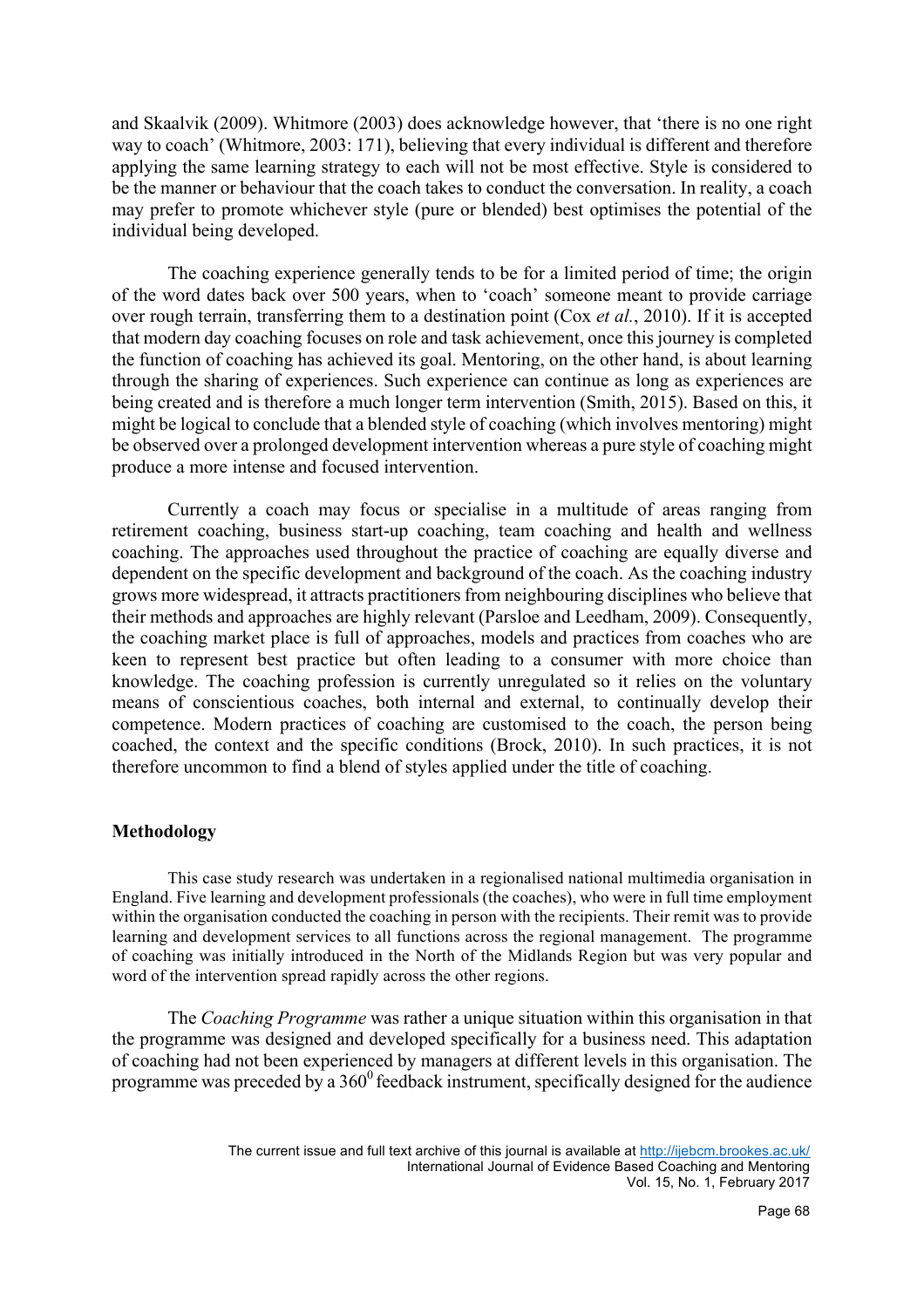and Skaalvik (2009). Whitmore (2003) does acknowledge however, that 'there is no one right way to coach' (Whitmore, 2003: 171), believing that every individual is different and therefore applying the same learning strategy to each will not be most effective. Style is considered to be the manner or behaviour that the coach takes to conduct the conversation. In reality, a coach may prefer to promote whichever style (pure or blended) best optimises the potential of the individual being developed.

The coaching experience generally tends to be for a limited period of time; the origin of the word dates back over 500 years, when to 'coach' someone meant to provide carriage over rough terrain, transferring them to a destination point (Cox *et al.*, 2010). If it is accepted that modern day coaching focuses on role and task achievement, once this journey is completed the function of coaching has achieved its goal. Mentoring, on the other hand, is about learning through the sharing of experiences. Such experience can continue as long as experiences are being created and is therefore a much longer term intervention (Smith, 2015). Based on this, it might be logical to conclude that a blended style of coaching (which involves mentoring) might be observed over a prolonged development intervention whereas a pure style of coaching might produce a more intense and focused intervention.

Currently a coach may focus or specialise in a multitude of areas ranging from retirement coaching, business start-up coaching, team coaching and health and wellness coaching. The approaches used throughout the practice of coaching are equally diverse and dependent on the specific development and background of the coach. As the coaching industry grows more widespread, it attracts practitioners from neighbouring disciplines who believe that their methods and approaches are highly relevant (Parsloe and Leedham, 2009). Consequently, the coaching market place is full of approaches, models and practices from coaches who are keen to represent best practice but often leading to a consumer with more choice than knowledge. The coaching profession is currently unregulated so it relies on the voluntary means of conscientious coaches, both internal and external, to continually develop their competence. Modern practices of coaching are customised to the coach, the person being coached, the context and the specific conditions (Brock, 2010). In such practices, it is not therefore uncommon to find a blend of styles applied under the title of coaching.

#### **Methodology**

This case study research was undertaken in a regionalised national multimedia organisation in England. Five learning and development professionals (the coaches), who were in full time employment within the organisation conducted the coaching in person with the recipients. Their remit was to provide learning and development services to all functions across the regional management. The programme of coaching was initially introduced in the North of the Midlands Region but was very popular and word of the intervention spread rapidly across the other regions.

The *Coaching Programme* was rather a unique situation within this organisation in that the programme was designed and developed specifically for a business need. This adaptation of coaching had not been experienced by managers at different levels in this organisation. The programme was preceded by a  $360^{\circ}$  feedback instrument, specifically designed for the audience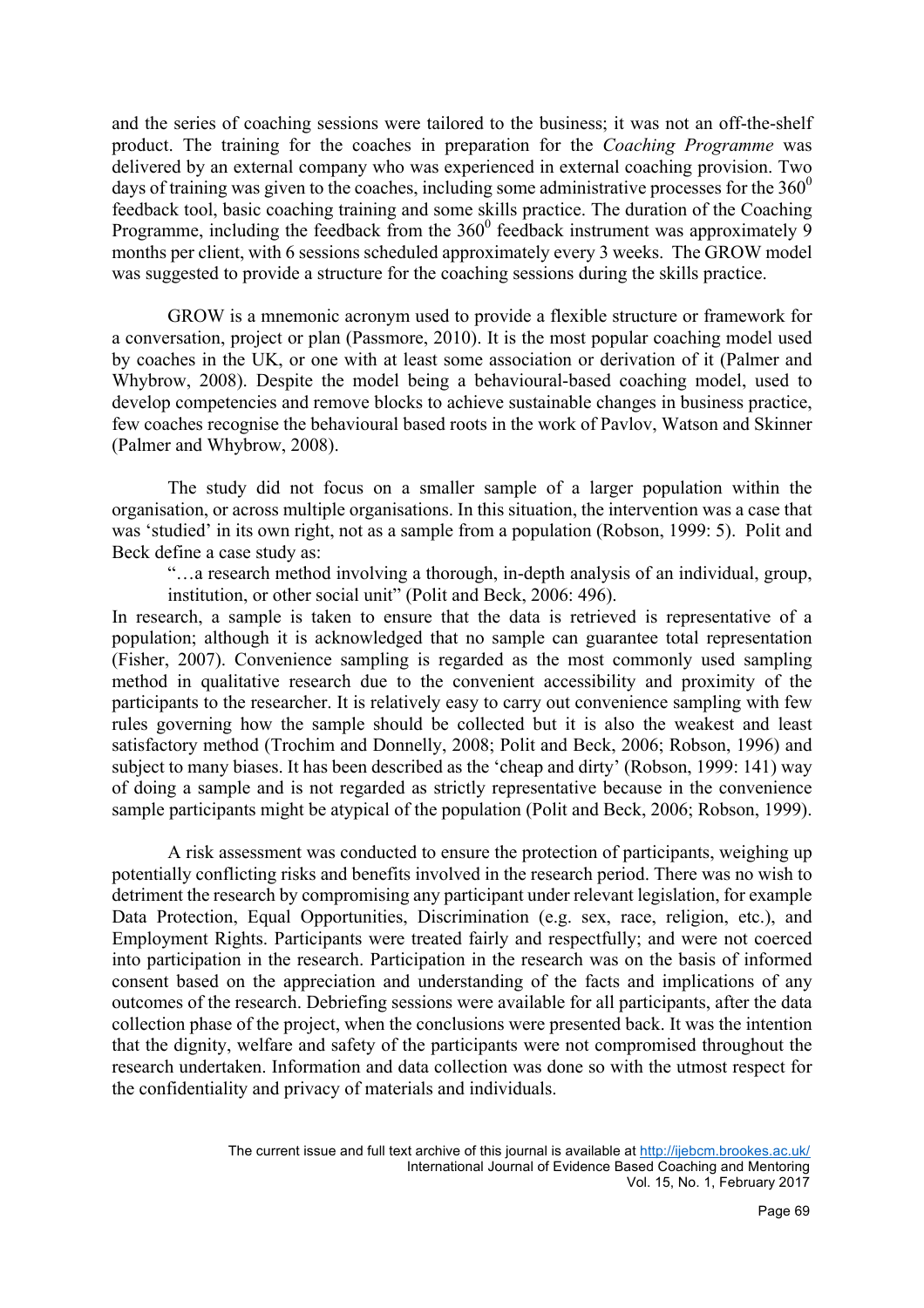and the series of coaching sessions were tailored to the business; it was not an off-the-shelf product. The training for the coaches in preparation for the *Coaching Programme* was delivered by an external company who was experienced in external coaching provision. Two days of training was given to the coaches, including some administrative processes for the  $360^{\circ}$ feedback tool, basic coaching training and some skills practice. The duration of the Coaching Programme, including the feedback from the  $360^{\circ}$  feedback instrument was approximately 9 months per client, with 6 sessions scheduled approximately every 3 weeks. The GROW model was suggested to provide a structure for the coaching sessions during the skills practice.

GROW is a mnemonic acronym used to provide a flexible structure or framework for a conversation, project or plan (Passmore, 2010). It is the most popular coaching model used by coaches in the UK, or one with at least some association or derivation of it (Palmer and Whybrow, 2008). Despite the model being a behavioural-based coaching model, used to develop competencies and remove blocks to achieve sustainable changes in business practice, few coaches recognise the behavioural based roots in the work of Pavlov, Watson and Skinner (Palmer and Whybrow, 2008).

The study did not focus on a smaller sample of a larger population within the organisation, or across multiple organisations. In this situation, the intervention was a case that was 'studied' in its own right, not as a sample from a population (Robson, 1999: 5). Polit and Beck define a case study as:

"…a research method involving a thorough, in-depth analysis of an individual, group, institution, or other social unit" (Polit and Beck, 2006: 496).

In research, a sample is taken to ensure that the data is retrieved is representative of a population; although it is acknowledged that no sample can guarantee total representation (Fisher, 2007). Convenience sampling is regarded as the most commonly used sampling method in qualitative research due to the convenient accessibility and proximity of the participants to the researcher. It is relatively easy to carry out convenience sampling with few rules governing how the sample should be collected but it is also the weakest and least satisfactory method (Trochim and Donnelly, 2008; Polit and Beck, 2006; Robson, 1996) and subject to many biases. It has been described as the 'cheap and dirty' (Robson, 1999: 141) way of doing a sample and is not regarded as strictly representative because in the convenience sample participants might be atypical of the population (Polit and Beck, 2006; Robson, 1999).

A risk assessment was conducted to ensure the protection of participants, weighing up potentially conflicting risks and benefits involved in the research period. There was no wish to detriment the research by compromising any participant under relevant legislation, for example Data Protection, Equal Opportunities, Discrimination (e.g. sex, race, religion, etc.), and Employment Rights. Participants were treated fairly and respectfully; and were not coerced into participation in the research. Participation in the research was on the basis of informed consent based on the appreciation and understanding of the facts and implications of any outcomes of the research. Debriefing sessions were available for all participants, after the data collection phase of the project, when the conclusions were presented back. It was the intention that the dignity, welfare and safety of the participants were not compromised throughout the research undertaken. Information and data collection was done so with the utmost respect for the confidentiality and privacy of materials and individuals.

> The current issue and full text archive of this journal is available at http://ijebcm.brookes.ac.uk/ International Journal of Evidence Based Coaching and Mentoring Vol. 15, No. 1, February 2017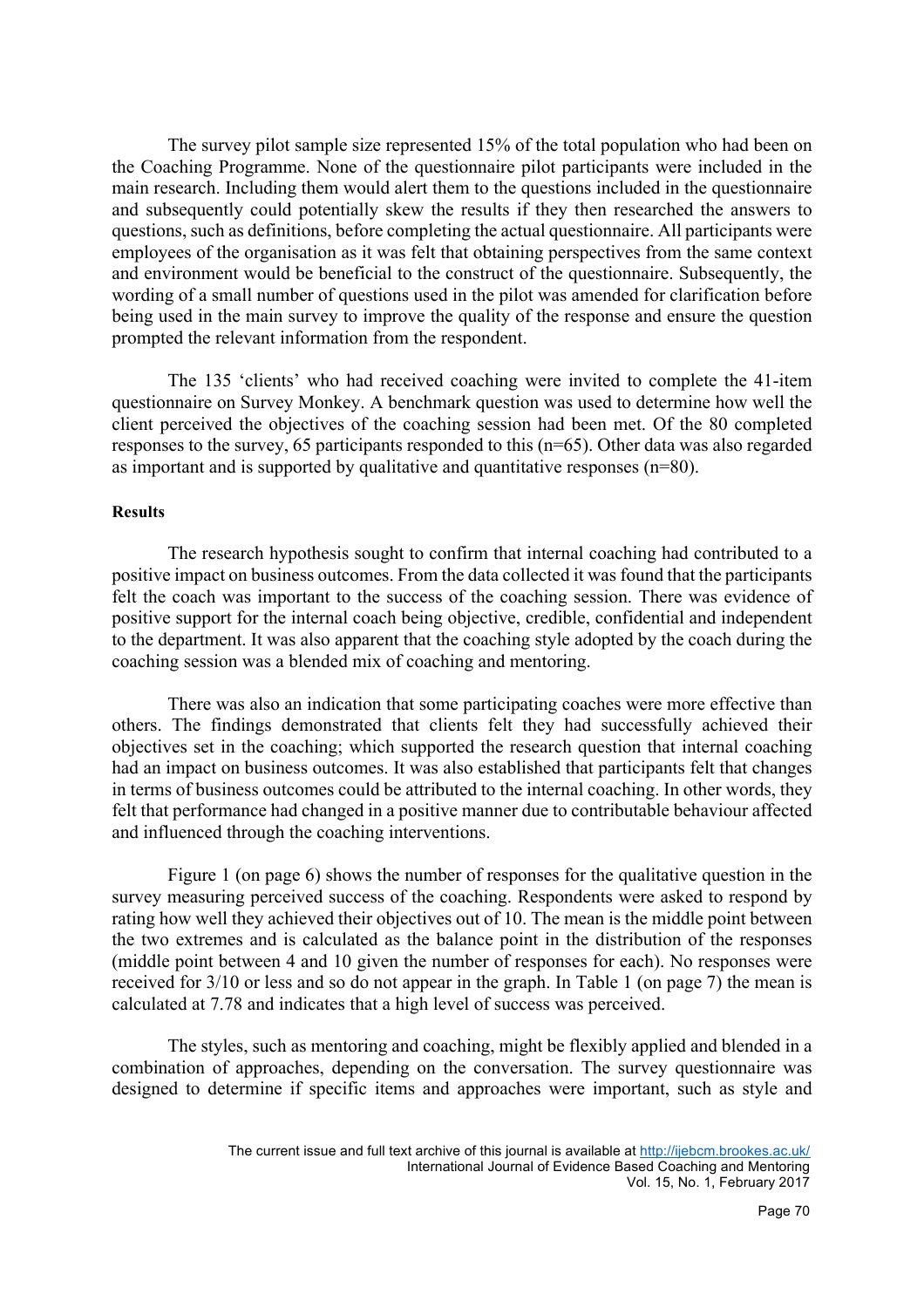The survey pilot sample size represented 15% of the total population who had been on the Coaching Programme. None of the questionnaire pilot participants were included in the main research. Including them would alert them to the questions included in the questionnaire and subsequently could potentially skew the results if they then researched the answers to questions, such as definitions, before completing the actual questionnaire. All participants were employees of the organisation as it was felt that obtaining perspectives from the same context and environment would be beneficial to the construct of the questionnaire. Subsequently, the wording of a small number of questions used in the pilot was amended for clarification before being used in the main survey to improve the quality of the response and ensure the question prompted the relevant information from the respondent.

The 135 'clients' who had received coaching were invited to complete the 41-item questionnaire on Survey Monkey. A benchmark question was used to determine how well the client perceived the objectives of the coaching session had been met. Of the 80 completed responses to the survey, 65 participants responded to this (n=65). Other data was also regarded as important and is supported by qualitative and quantitative responses (n=80).

#### **Results**

The research hypothesis sought to confirm that internal coaching had contributed to a positive impact on business outcomes. From the data collected it was found that the participants felt the coach was important to the success of the coaching session. There was evidence of positive support for the internal coach being objective, credible, confidential and independent to the department. It was also apparent that the coaching style adopted by the coach during the coaching session was a blended mix of coaching and mentoring.

There was also an indication that some participating coaches were more effective than others. The findings demonstrated that clients felt they had successfully achieved their objectives set in the coaching; which supported the research question that internal coaching had an impact on business outcomes. It was also established that participants felt that changes in terms of business outcomes could be attributed to the internal coaching. In other words, they felt that performance had changed in a positive manner due to contributable behaviour affected and influenced through the coaching interventions.

Figure 1 (on page 6) shows the number of responses for the qualitative question in the survey measuring perceived success of the coaching. Respondents were asked to respond by rating how well they achieved their objectives out of 10. The mean is the middle point between the two extremes and is calculated as the balance point in the distribution of the responses (middle point between 4 and 10 given the number of responses for each). No responses were received for 3/10 or less and so do not appear in the graph. In Table 1 (on page 7) the mean is calculated at 7.78 and indicates that a high level of success was perceived.

The styles, such as mentoring and coaching, might be flexibly applied and blended in a combination of approaches, depending on the conversation. The survey questionnaire was designed to determine if specific items and approaches were important, such as style and

The current issue and full text archive of this journal is available at http://ijebcm.brookes.ac.uk/ International Journal of Evidence Based Coaching and Mentoring Vol. 15, No. 1, February 2017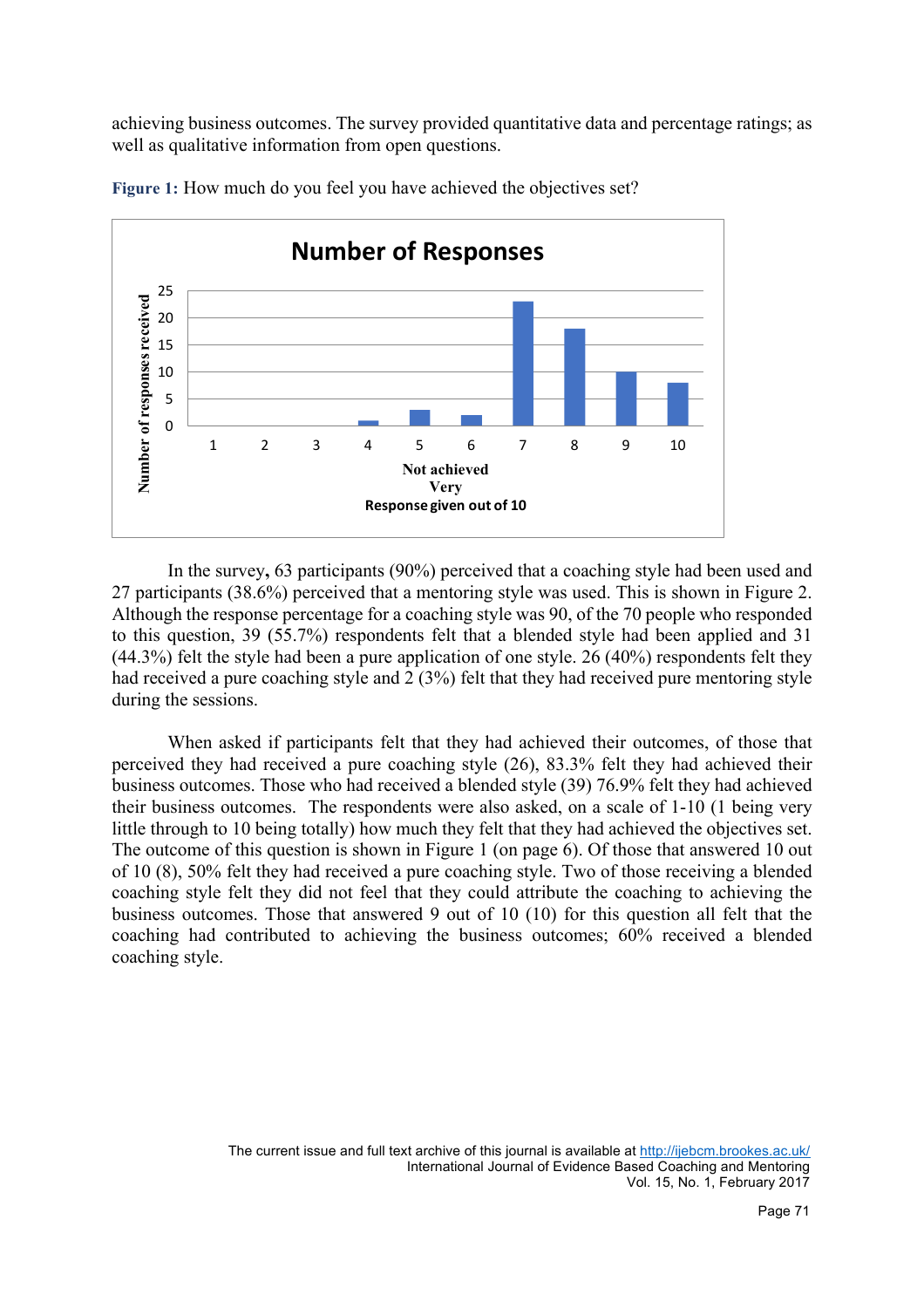achieving business outcomes. The survey provided quantitative data and percentage ratings; as well as qualitative information from open questions.



**Figure 1:** How much do you feel you have achieved the objectives set?

In the survey**,** 63 participants (90%) perceived that a coaching style had been used and 27 participants (38.6%) perceived that a mentoring style was used. This is shown in Figure 2. Although the response percentage for a coaching style was 90, of the 70 people who responded to this question, 39 (55.7%) respondents felt that a blended style had been applied and 31 (44.3%) felt the style had been a pure application of one style. 26 (40%) respondents felt they had received a pure coaching style and 2 (3%) felt that they had received pure mentoring style during the sessions.

When asked if participants felt that they had achieved their outcomes, of those that perceived they had received a pure coaching style (26), 83.3% felt they had achieved their business outcomes. Those who had received a blended style (39) 76.9% felt they had achieved their business outcomes. The respondents were also asked, on a scale of 1-10 (1 being very little through to 10 being totally) how much they felt that they had achieved the objectives set. The outcome of this question is shown in Figure 1 (on page 6). Of those that answered 10 out of 10 (8), 50% felt they had received a pure coaching style. Two of those receiving a blended coaching style felt they did not feel that they could attribute the coaching to achieving the business outcomes. Those that answered 9 out of 10 (10) for this question all felt that the coaching had contributed to achieving the business outcomes; 60% received a blended coaching style.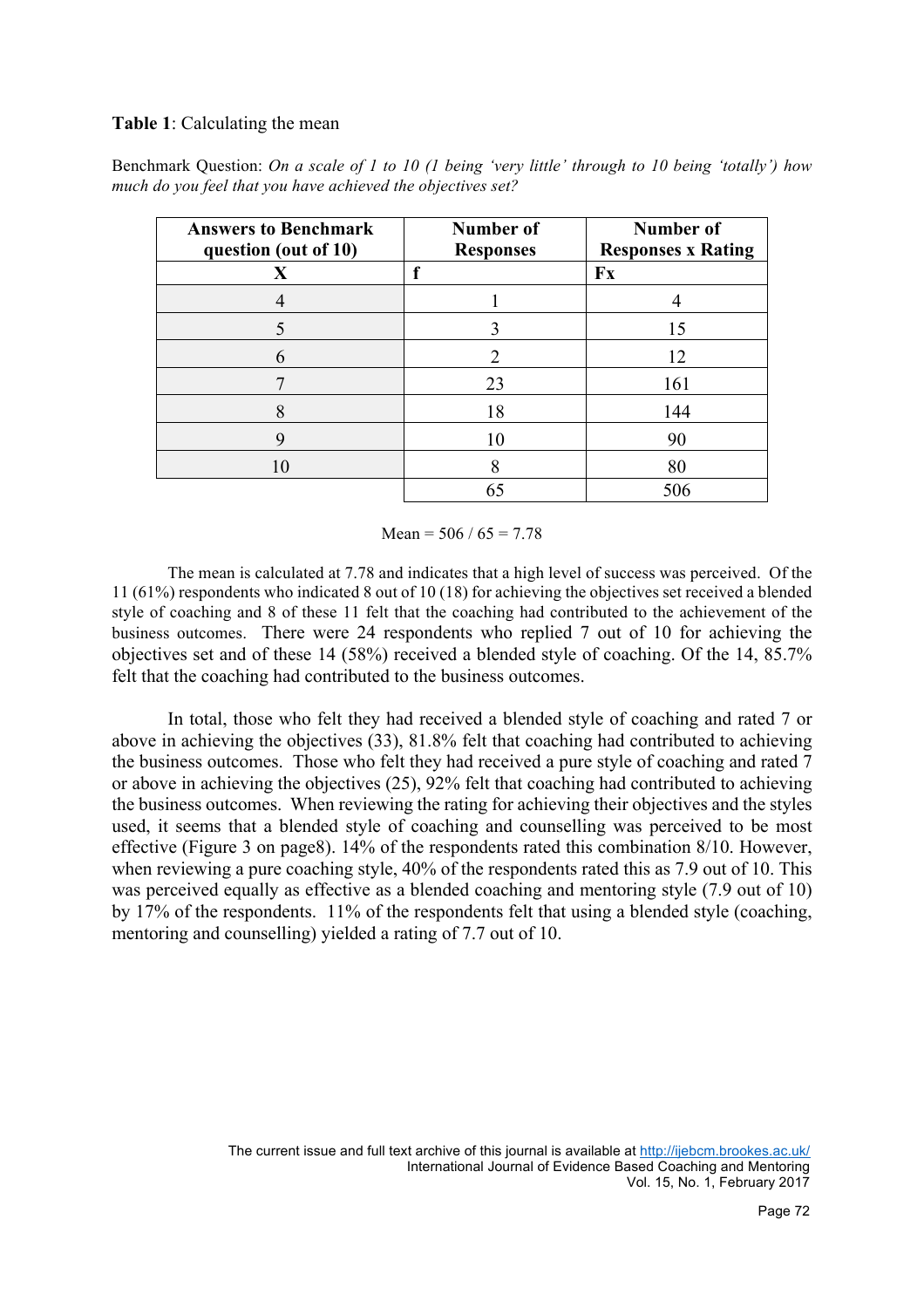# **Table 1**: Calculating the mean

Benchmark Question: *On a scale of 1 to 10 (1 being 'very little' through to 10 being 'totally') how much do you feel that you have achieved the objectives set?*

| <b>Answers to Benchmark</b><br>question (out of 10) | Number of<br><b>Responses</b> | Number of<br><b>Responses x Rating</b> |
|-----------------------------------------------------|-------------------------------|----------------------------------------|
| X                                                   | f                             | Fx                                     |
|                                                     |                               |                                        |
|                                                     |                               | 15                                     |
| 6                                                   | $\mathcal{D}_{\cdot}$         | 12                                     |
|                                                     | 23                            | 161                                    |
| 8                                                   | 18                            | 144                                    |
| Q                                                   | 10                            | 90                                     |
|                                                     | 8                             | 80                                     |
|                                                     |                               | 506                                    |

Mean =  $506 / 65 = 7.78$ 

The mean is calculated at 7.78 and indicates that a high level of success was perceived. Of the 11 (61%) respondents who indicated 8 out of 10 (18) for achieving the objectives set received a blended style of coaching and 8 of these 11 felt that the coaching had contributed to the achievement of the business outcomes. There were 24 respondents who replied 7 out of 10 for achieving the objectives set and of these 14 (58%) received a blended style of coaching. Of the 14, 85.7% felt that the coaching had contributed to the business outcomes.

In total, those who felt they had received a blended style of coaching and rated 7 or above in achieving the objectives (33), 81.8% felt that coaching had contributed to achieving the business outcomes. Those who felt they had received a pure style of coaching and rated 7 or above in achieving the objectives (25), 92% felt that coaching had contributed to achieving the business outcomes. When reviewing the rating for achieving their objectives and the styles used, it seems that a blended style of coaching and counselling was perceived to be most effective (Figure 3 on page8). 14% of the respondents rated this combination 8/10. However, when reviewing a pure coaching style, 40% of the respondents rated this as 7.9 out of 10. This was perceived equally as effective as a blended coaching and mentoring style (7.9 out of 10) by 17% of the respondents. 11% of the respondents felt that using a blended style (coaching, mentoring and counselling) yielded a rating of 7.7 out of 10.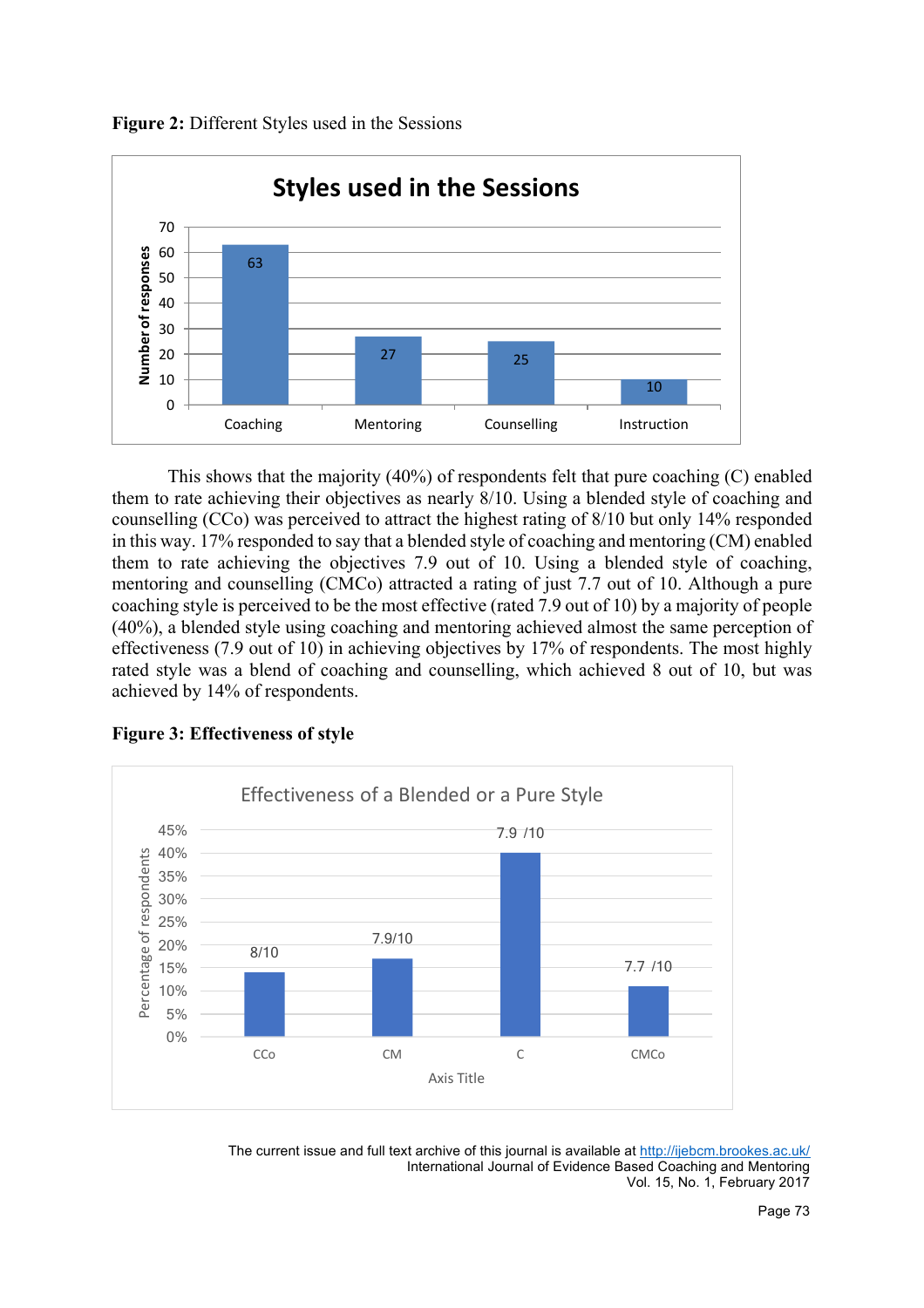



This shows that the majority (40%) of respondents felt that pure coaching (C) enabled them to rate achieving their objectives as nearly 8/10. Using a blended style of coaching and counselling (CCo) was perceived to attract the highest rating of 8/10 but only 14% responded in this way. 17% responded to say that a blended style of coaching and mentoring (CM) enabled them to rate achieving the objectives 7.9 out of 10. Using a blended style of coaching, mentoring and counselling (CMCo) attracted a rating of just 7.7 out of 10. Although a pure coaching style is perceived to be the most effective (rated 7.9 out of 10) by a majority of people (40%), a blended style using coaching and mentoring achieved almost the same perception of effectiveness (7.9 out of 10) in achieving objectives by 17% of respondents. The most highly rated style was a blend of coaching and counselling, which achieved 8 out of 10, but was achieved by 14% of respondents.





The current issue and full text archive of this journal is available at http://ijebcm.brookes.ac.uk/ International Journal of Evidence Based Coaching and Mentoring Vol. 15, No. 1, February 2017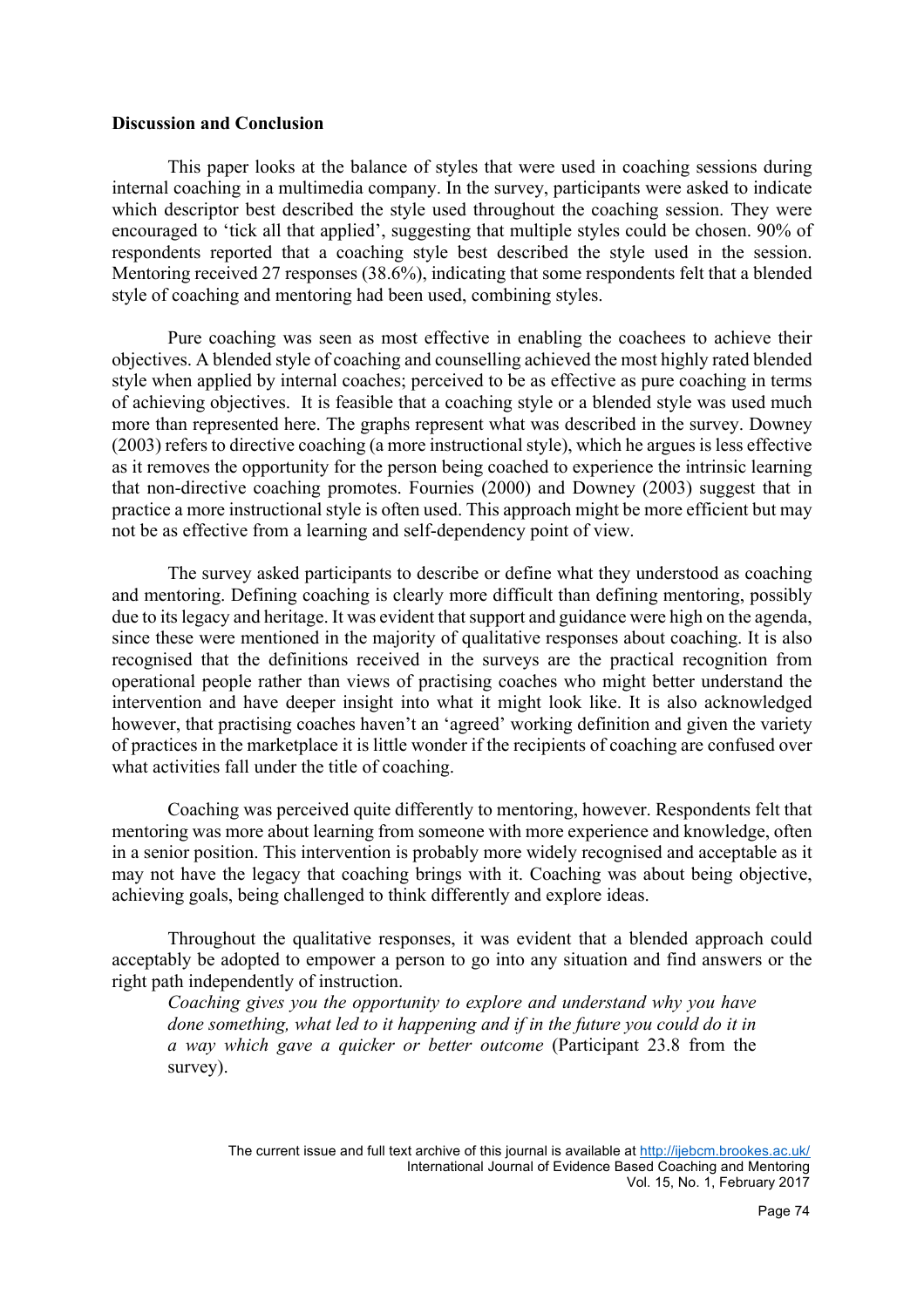#### **Discussion and Conclusion**

This paper looks at the balance of styles that were used in coaching sessions during internal coaching in a multimedia company. In the survey, participants were asked to indicate which descriptor best described the style used throughout the coaching session. They were encouraged to 'tick all that applied', suggesting that multiple styles could be chosen. 90% of respondents reported that a coaching style best described the style used in the session. Mentoring received 27 responses (38.6%), indicating that some respondents felt that a blended style of coaching and mentoring had been used, combining styles.

Pure coaching was seen as most effective in enabling the coachees to achieve their objectives. A blended style of coaching and counselling achieved the most highly rated blended style when applied by internal coaches; perceived to be as effective as pure coaching in terms of achieving objectives. It is feasible that a coaching style or a blended style was used much more than represented here. The graphs represent what was described in the survey. Downey (2003) refers to directive coaching (a more instructional style), which he argues is less effective as it removes the opportunity for the person being coached to experience the intrinsic learning that non-directive coaching promotes. Fournies (2000) and Downey (2003) suggest that in practice a more instructional style is often used. This approach might be more efficient but may not be as effective from a learning and self-dependency point of view.

The survey asked participants to describe or define what they understood as coaching and mentoring. Defining coaching is clearly more difficult than defining mentoring, possibly due to its legacy and heritage. It was evident that support and guidance were high on the agenda, since these were mentioned in the majority of qualitative responses about coaching. It is also recognised that the definitions received in the surveys are the practical recognition from operational people rather than views of practising coaches who might better understand the intervention and have deeper insight into what it might look like. It is also acknowledged however, that practising coaches haven't an 'agreed' working definition and given the variety of practices in the marketplace it is little wonder if the recipients of coaching are confused over what activities fall under the title of coaching.

Coaching was perceived quite differently to mentoring, however. Respondents felt that mentoring was more about learning from someone with more experience and knowledge, often in a senior position. This intervention is probably more widely recognised and acceptable as it may not have the legacy that coaching brings with it. Coaching was about being objective, achieving goals, being challenged to think differently and explore ideas.

Throughout the qualitative responses, it was evident that a blended approach could acceptably be adopted to empower a person to go into any situation and find answers or the right path independently of instruction.

*Coaching gives you the opportunity to explore and understand why you have done something, what led to it happening and if in the future you could do it in a way which gave a quicker or better outcome* (Participant 23.8 from the survey).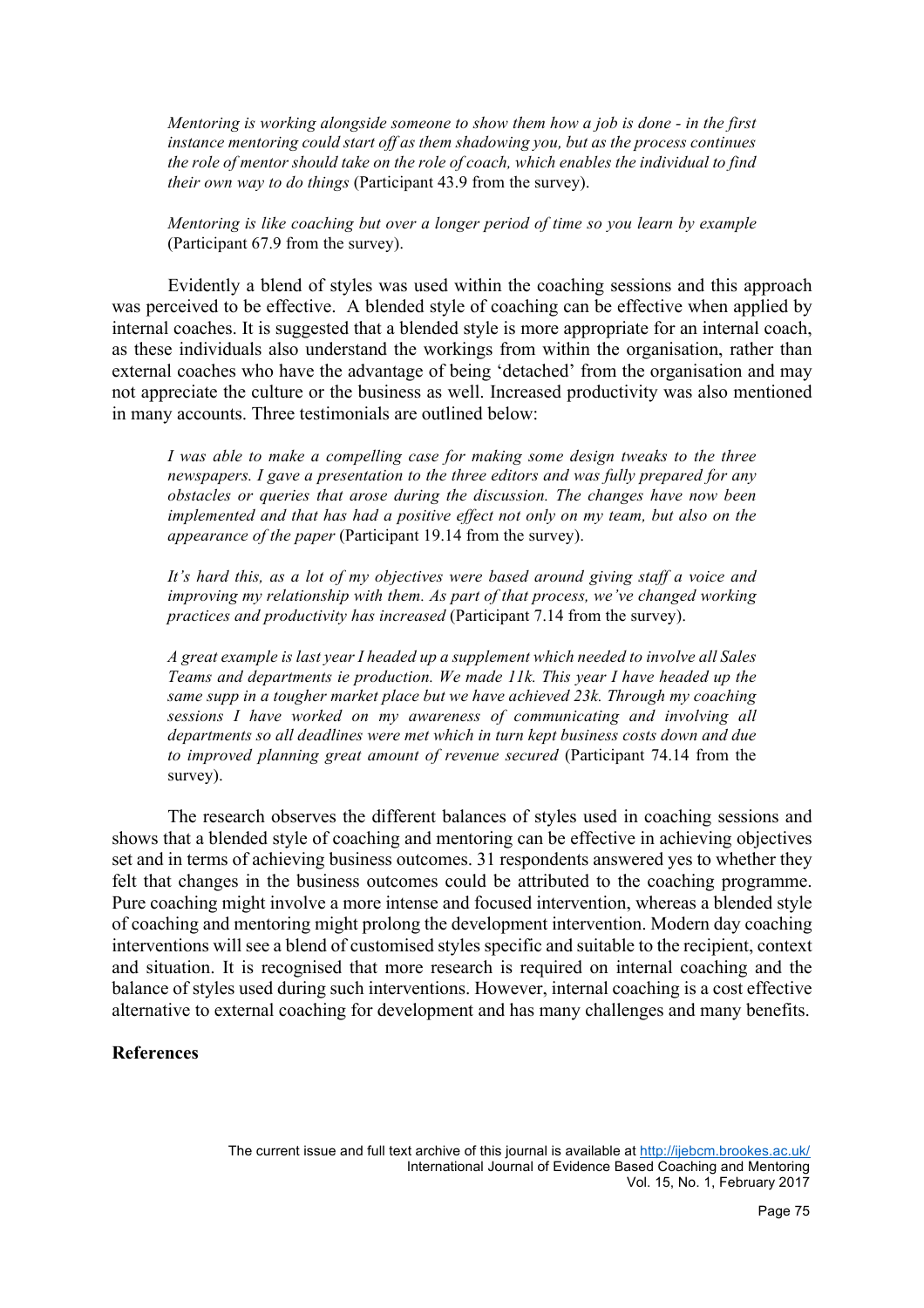*Mentoring is working alongside someone to show them how a job is done - in the first instance mentoring could start off as them shadowing you, but as the process continues the role of mentor should take on the role of coach, which enables the individual to find their own way to do things* (Participant 43.9 from the survey).

*Mentoring is like coaching but over a longer period of time so you learn by example*  (Participant 67.9 from the survey).

Evidently a blend of styles was used within the coaching sessions and this approach was perceived to be effective. A blended style of coaching can be effective when applied by internal coaches. It is suggested that a blended style is more appropriate for an internal coach, as these individuals also understand the workings from within the organisation, rather than external coaches who have the advantage of being 'detached' from the organisation and may not appreciate the culture or the business as well. Increased productivity was also mentioned in many accounts. Three testimonials are outlined below:

*I was able to make a compelling case for making some design tweaks to the three newspapers. I gave a presentation to the three editors and was fully prepared for any obstacles or queries that arose during the discussion. The changes have now been implemented and that has had a positive effect not only on my team, but also on the appearance of the paper* (Participant 19.14 from the survey).

*It's hard this, as a lot of my objectives were based around giving staff a voice and improving my relationship with them. As part of that process, we've changed working practices and productivity has increased* (Participant 7.14 from the survey).

*A great example is last year I headed up a supplement which needed to involve all Sales Teams and departments ie production. We made 11k. This year I have headed up the same supp in a tougher market place but we have achieved 23k. Through my coaching sessions I have worked on my awareness of communicating and involving all departments so all deadlines were met which in turn kept business costs down and due to improved planning great amount of revenue secured* (Participant 74.14 from the survey).

The research observes the different balances of styles used in coaching sessions and shows that a blended style of coaching and mentoring can be effective in achieving objectives set and in terms of achieving business outcomes. 31 respondents answered yes to whether they felt that changes in the business outcomes could be attributed to the coaching programme. Pure coaching might involve a more intense and focused intervention, whereas a blended style of coaching and mentoring might prolong the development intervention. Modern day coaching interventions will see a blend of customised styles specific and suitable to the recipient, context and situation. It is recognised that more research is required on internal coaching and the balance of styles used during such interventions. However, internal coaching is a cost effective alternative to external coaching for development and has many challenges and many benefits.

# **References**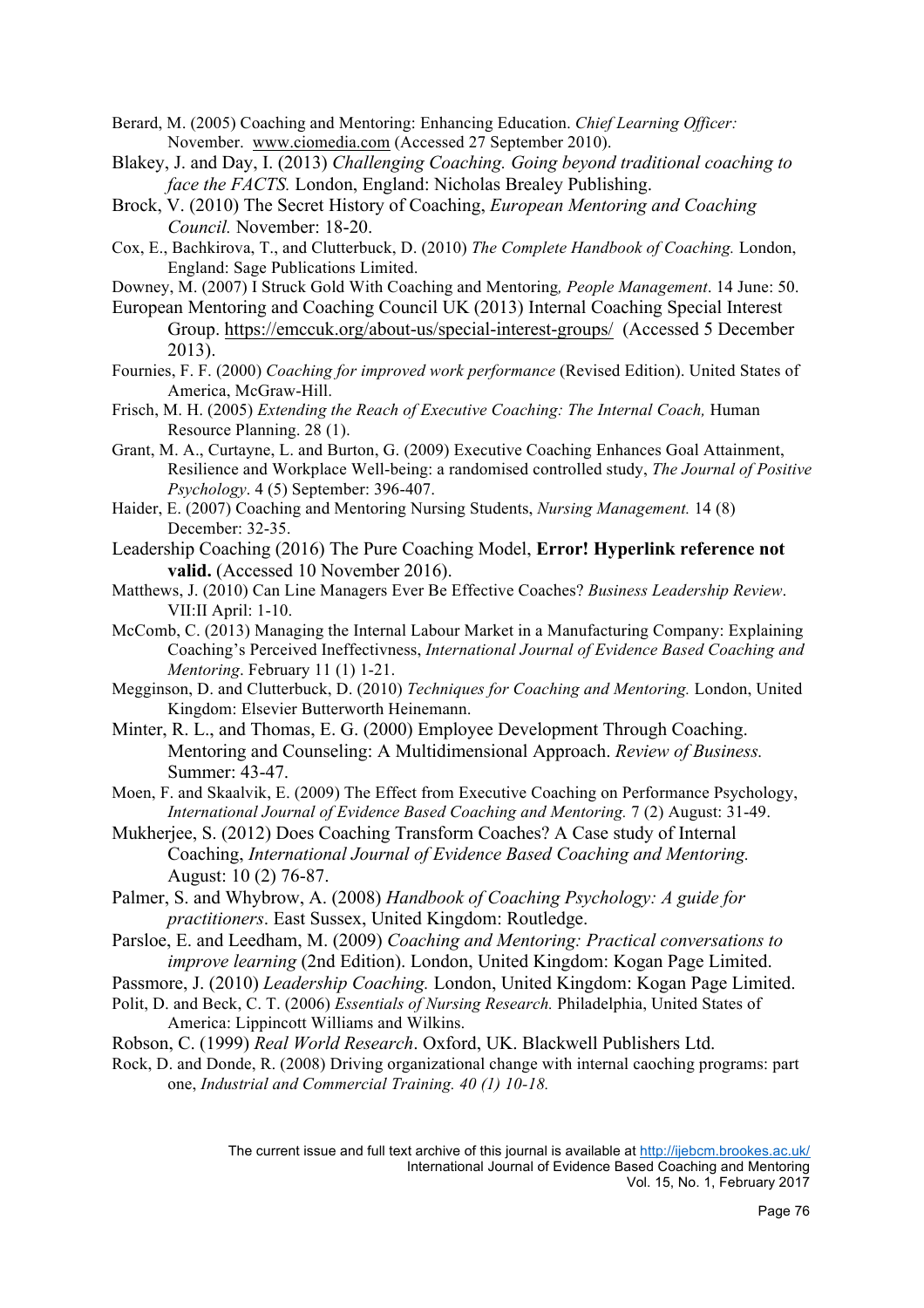- Berard, M. (2005) Coaching and Mentoring: Enhancing Education. *Chief Learning Officer:* November. www.ciomedia.com (Accessed 27 September 2010).
- Blakey, J. and Day, I. (2013) *Challenging Coaching. Going beyond traditional coaching to face the FACTS.* London, England: Nicholas Brealey Publishing.
- Brock, V. (2010) The Secret History of Coaching, *European Mentoring and Coaching Council.* November: 18-20.
- Cox, E., Bachkirova, T., and Clutterbuck, D. (2010) *The Complete Handbook of Coaching.* London, England: Sage Publications Limited.
- Downey, M. (2007) I Struck Gold With Coaching and Mentoring*, People Management*. 14 June: 50.
- European Mentoring and Coaching Council UK (2013) Internal Coaching Special Interest Group. https://emccuk.org/about-us/special-interest-groups/ (Accessed 5 December 2013).
- Fournies, F. F. (2000) *Coaching for improved work performance* (Revised Edition). United States of America, McGraw-Hill.
- Frisch, M. H. (2005) *Extending the Reach of Executive Coaching: The Internal Coach,* Human Resource Planning. 28 (1).
- Grant, M. A., Curtayne, L. and Burton, G. (2009) Executive Coaching Enhances Goal Attainment, Resilience and Workplace Well-being: a randomised controlled study, *The Journal of Positive Psychology*. 4 (5) September: 396-407.
- Haider, E. (2007) Coaching and Mentoring Nursing Students, *Nursing Management.* 14 (8) December: 32-35.
- Leadership Coaching (2016) The Pure Coaching Model, **Error! Hyperlink reference not valid.** (Accessed 10 November 2016).
- Matthews, J. (2010) Can Line Managers Ever Be Effective Coaches? *Business Leadership Review*. VII:II April: 1-10.
- McComb, C. (2013) Managing the Internal Labour Market in a Manufacturing Company: Explaining Coaching's Perceived Ineffectivness, *International Journal of Evidence Based Coaching and Mentoring*. February 11 (1) 1-21.
- Megginson, D. and Clutterbuck, D. (2010) *Techniques for Coaching and Mentoring.* London, United Kingdom: Elsevier Butterworth Heinemann.
- Minter, R. L., and Thomas, E. G. (2000) Employee Development Through Coaching. Mentoring and Counseling: A Multidimensional Approach. *Review of Business.* Summer: 43-47.
- Moen, F. and Skaalvik, E. (2009) The Effect from Executive Coaching on Performance Psychology, *International Journal of Evidence Based Coaching and Mentoring.* 7 (2) August: 31-49.
- Mukherjee, S. (2012) Does Coaching Transform Coaches? A Case study of Internal Coaching, *International Journal of Evidence Based Coaching and Mentoring.* August: 10 (2) 76-87.
- Palmer, S. and Whybrow, A. (2008) *Handbook of Coaching Psychology: A guide for practitioners*. East Sussex, United Kingdom: Routledge.
- Parsloe, E. and Leedham, M. (2009) *Coaching and Mentoring: Practical conversations to improve learning* (2nd Edition). London, United Kingdom: Kogan Page Limited.
- Passmore, J. (2010) *Leadership Coaching.* London, United Kingdom: Kogan Page Limited.
- Polit, D. and Beck, C. T. (2006) *Essentials of Nursing Research.* Philadelphia, United States of America: Lippincott Williams and Wilkins.
- Robson, C. (1999) *Real World Research*. Oxford, UK. Blackwell Publishers Ltd.
- Rock, D. and Donde, R. (2008) Driving organizational change with internal caoching programs: part one, *Industrial and Commercial Training. 40 (1) 10-18.*

The current issue and full text archive of this journal is available at http://ijebcm.brookes.ac.uk/ International Journal of Evidence Based Coaching and Mentoring Vol. 15, No. 1, February 2017